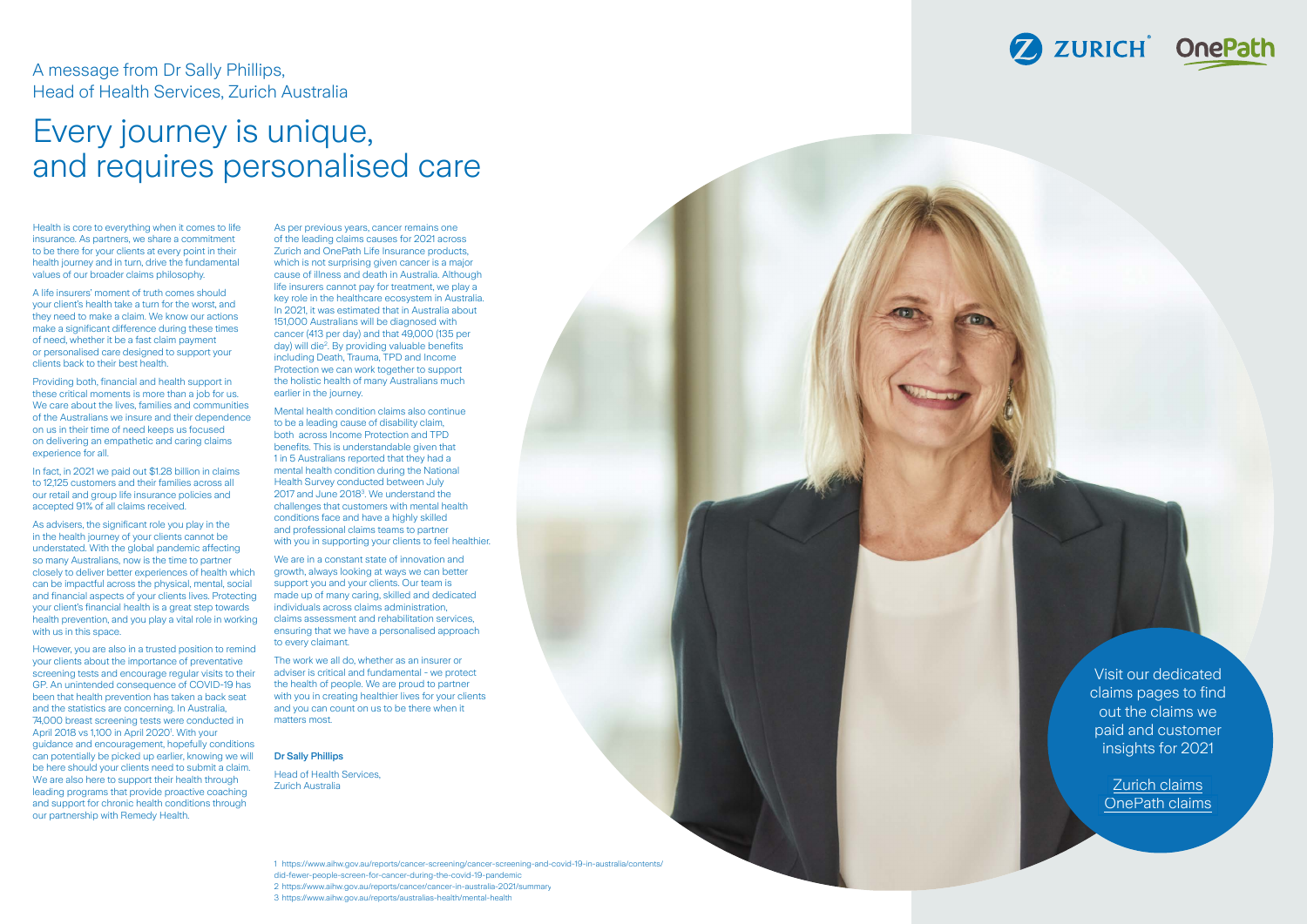Mental health condition claims also continue to be a leading cause of disability claim, both across Income Protection and TPD benefits. This is understandable given that 1 in 5 Australians reported that they had a mental health condition during the National Health Survey conducted between July 2017 and June 2018 3 . We understand the challenges that customers with mental health conditions face and have a highly skilled and professional claims teams to partner with you in supporting your clients to feel healthier.

of the leading claims causes for 2021 across Zurich and OnePath Life Insurance products, which is not surprising given cancer is a major cause of illness and death in Australia. Although life insurers cannot pay for treatment, we play a key role in the healthcare ecosystem in Australia. In 2021, it was estimated that in Australia about 151,000 Australians will be diagnosed with cancer (413 per day) and that 49,000 (135 per day) will die 2 . By providing valuable benefits including Death, Trauma, TPD and Income Protection we can work together to support the holistic health o f many Australians much earlier in the journey.

We are in a constant state of innovation and growth, always looking at ways we can better support you and your clients. Our team is made up of many caring, skilled and dedicated individuals across claims administration, claims assessment and rehabilitation services, ensuring that we have a personalised approach to every claimant.

The work we all do, whether as an insurer or adviser is critical and fundamental - we protect the health of people. We are proud to partner with you in creating healthier lives for your clients and you can count on us to be there when it matters most.

### Dr Sally Phillips

Head of Health Services, Zurich Australia

## A message from Dr Sally Phillips, Head of Health Services, Zurich Australia

# Every journey is unique, and requires personalised care

Health is core to everything when it comes to life As per previous years, cancer remains one insurance. As partners, we share a commitment to be there for your clients at every point in their health journey and in turn, drive the fundamental values of our broader claims philosophy.

A life insurers' moment of truth comes should your client's health take a turn for the worst, and they need to make a claim. We know our actions make a significant difference during these times of need, whether it be a fast claim payment or personalised care designed to support your clients back to their best health.

Providing both, financial and health support in these critical moments is more than a job for us. We care about the lives, families and communities of the Australians we insure and their dependence on us in their time of need keeps us focused on delivering an empathetic and caring claims experience for all.

In fact, in 2021 we paid out \$1.28 billion in claims to 12.125 customers and their families across all our retail and group life insurance policies and accepted 91% of all claims received.

As advisers, the significant role you play in the in the health journey of your clients cannot be understated. With the global pandemic affecting so many Australians, now is the time to partner closely to deliver better experiences of health which can be impactful across the physical, mental, social and financial aspects of your clients lives. Protecting your client's financial health is a great step towards health prevention, and you play a vital role in working with us in this space.

However, you are also in a trusted position to remind your clients about the importance of preventative screening tests and encourage regular visits to their GP. An unintended consequence of COVID-19 has been that health prevention has taken a back seat and the statistics are concerning. In Australia, 74,000 breast screening tests were conducted in April 2018 vs 1,100 in April 2020<sup>1</sup>. With your quidance and encouragement, hopefully conditions can potentially be picked up earlier, knowing we will be here should your clients need to submit a claim. We are also here to support their health through leading programs that provide proactive coaching and support for chronic health conditions through our partnership with Remedy Health.

Visit our dedicated claims pages to find out the claims we paid and customer insights for 2021

> [Zurich claims](https://www.zurich.com.au/lifeclaims/lifeclaims.html) [OnePath claims](https://www.onepath.com.au/claims/onepath-claims.html)

[https://www.aihw.gov.au/reports/cancer-screening/cancer-screening-and-covid-19-in-australia/contents/](https://www.aihw.gov.au/reports/cancer-screening/cancer-screening-and-covid-19-in-australia/contents/did-fewer-people-screen-for-cancer-during-the-covid-19-pandemic) did-fewer-people-screen-for-cancer-during-the-covid-19-pandemic <https://www.aihw.gov.au/reports/cancer/cancer-in-australia-2021/summary> <https://www.aihw.gov.au/reports/australias-health/mental-health>